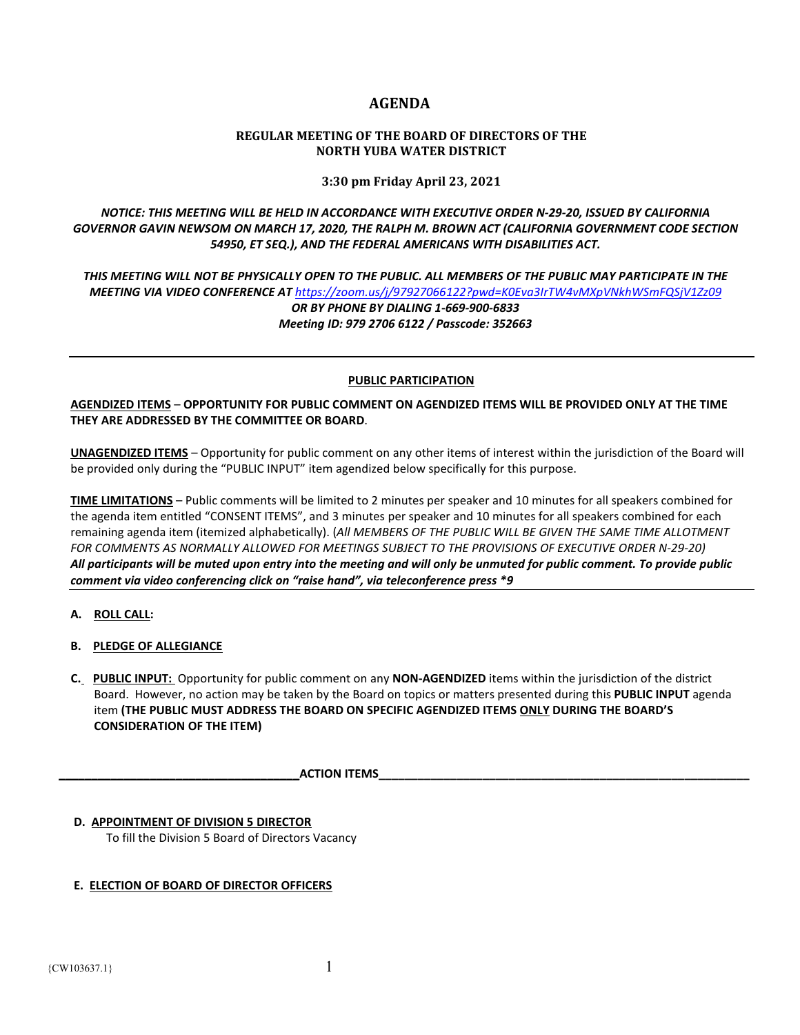# **AGENDA**

# **REGULAR MEETING OF THE BOARD OF DIRECTORS OF THE NORTH YUBA WATER DISTRICT**

**3:30 pm Friday April 23, 2021**

*NOTICE: THIS MEETING WILL BE HELD IN ACCORDANCE WITH EXECUTIVE ORDER N-29-20, ISSUED BY CALIFORNIA GOVERNOR GAVIN NEWSOM ON MARCH 17, 2020, THE RALPH M. BROWN ACT (CALIFORNIA GOVERNMENT CODE SECTION 54950, ET SEQ.), AND THE FEDERAL AMERICANS WITH DISABILITIES ACT.* 

*THIS MEETING WILL NOT BE PHYSICALLY OPEN TO THE PUBLIC. ALL MEMBERS OF THE PUBLIC MAY PARTICIPATE IN THE MEETING VIA VIDEO CONFERENCE AT <https://zoom.us/j/97927066122?pwd=K0Eva3IrTW4vMXpVNkhWSmFQSjV1Zz09> OR BY PHONE BY DIALING 1-669-900-6833 Meeting ID: 979 2706 6122 / Passcode: 352663*

## **PUBLIC PARTICIPATION**

**AGENDIZED ITEMS** – **OPPORTUNITY FOR PUBLIC COMMENT ON AGENDIZED ITEMS WILL BE PROVIDED ONLY AT THE TIME THEY ARE ADDRESSED BY THE COMMITTEE OR BOARD**.

**UNAGENDIZED ITEMS** – Opportunity for public comment on any other items of interest within the jurisdiction of the Board will be provided only during the "PUBLIC INPUT" item agendized below specifically for this purpose.

**TIME LIMITATIONS** – Public comments will be limited to 2 minutes per speaker and 10 minutes for all speakers combined for the agenda item entitled "CONSENT ITEMS", and 3 minutes per speaker and 10 minutes for all speakers combined for each remaining agenda item (itemized alphabetically). (*All MEMBERS OF THE PUBLIC WILL BE GIVEN THE SAME TIME ALLOTMENT FOR COMMENTS AS NORMALLY ALLOWED FOR MEETINGS SUBJECT TO THE PROVISIONS OF EXECUTIVE ORDER N-29-20) All participants will be muted upon entry into the meeting and will only be unmuted for public comment. To provide public comment via video conferencing click on "raise hand", via teleconference press \*9*

- **A. ROLL CALL:**
- **B. PLEDGE OF ALLEGIANCE**
- **C. PUBLIC INPUT:** Opportunity for public comment on any **NON-AGENDIZED** items within the jurisdiction of the district Board. However, no action may be taken by the Board on topics or matters presented during this **PUBLIC INPUT** agenda item **(THE PUBLIC MUST ADDRESS THE BOARD ON SPECIFIC AGENDIZED ITEMS ONLY DURING THE BOARD'S CONSIDERATION OF THE ITEM)**

**ACTION ITEMS** 

 **D. APPOINTMENT OF DIVISION 5 DIRECTOR** To fill the Division 5 Board of Directors Vacancy

# **E. ELECTION OF BOARD OF DIRECTOR OFFICERS**